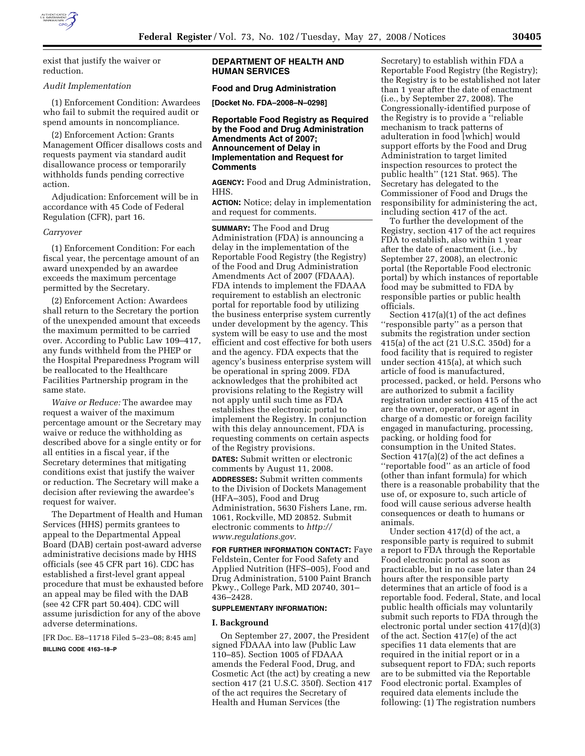

exist that justify the waiver or reduction.

#### *Audit Implementation*

(1) Enforcement Condition: Awardees who fail to submit the required audit or spend amounts in noncompliance.

(2) Enforcement Action: Grants Management Officer disallows costs and requests payment via standard audit disallowance process or temporarily withholds funds pending corrective action.

Adjudication: Enforcement will be in accordance with 45 Code of Federal Regulation (CFR), part 16.

## *Carryover*

(1) Enforcement Condition: For each fiscal year, the percentage amount of an award unexpended by an awardee exceeds the maximum percentage permitted by the Secretary.

(2) Enforcement Action: Awardees shall return to the Secretary the portion of the unexpended amount that exceeds the maximum permitted to be carried over. According to Public Law 109–417, any funds withheld from the PHEP or the Hospital Preparedness Program will be reallocated to the Healthcare Facilities Partnership program in the same state.

*Waive or Reduce:* The awardee may request a waiver of the maximum percentage amount or the Secretary may waive or reduce the withholding as described above for a single entity or for all entities in a fiscal year, if the Secretary determines that mitigating conditions exist that justify the waiver or reduction. The Secretary will make a decision after reviewing the awardee's request for waiver.

The Department of Health and Human Services (HHS) permits grantees to appeal to the Departmental Appeal Board (DAB) certain post-award adverse administrative decisions made by HHS officials (see 45 CFR part 16). CDC has established a first-level grant appeal procedure that must be exhausted before an appeal may be filed with the DAB (see 42 CFR part 50.404). CDC will assume jurisdiction for any of the above adverse determinations.

[FR Doc. E8–11718 Filed 5–23–08; 8:45 am] **BILLING CODE 4163–18–P** 

## **DEPARTMENT OF HEALTH AND HUMAN SERVICES**

## **Food and Drug Administration**

**[Docket No. FDA–2008–N–0298]** 

**Reportable Food Registry as Required by the Food and Drug Administration Amendments Act of 2007; Announcement of Delay in Implementation and Request for Comments** 

**AGENCY:** Food and Drug Administration, HHS.

**ACTION:** Notice; delay in implementation and request for comments.

**SUMMARY:** The Food and Drug Administration (FDA) is announcing a delay in the implementation of the Reportable Food Registry (the Registry) of the Food and Drug Administration Amendments Act of 2007 (FDAAA). FDA intends to implement the FDAAA requirement to establish an electronic portal for reportable food by utilizing the business enterprise system currently under development by the agency. This system will be easy to use and the most efficient and cost effective for both users and the agency. FDA expects that the agency's business enterprise system will be operational in spring 2009. FDA acknowledges that the prohibited act provisions relating to the Registry will not apply until such time as FDA establishes the electronic portal to implement the Registry. In conjunction with this delay announcement, FDA is requesting comments on certain aspects of the Registry provisions.

**DATES:** Submit written or electronic comments by August 11, 2008.

**ADDRESSES:** Submit written comments to the Division of Dockets Management (HFA–305), Food and Drug Administration, 5630 Fishers Lane, rm. 1061, Rockville, MD 20852. Submit electronic comments to *http:// www.regulations.gov*.

**FOR FURTHER INFORMATION CONTACT:** Faye Feldstein, Center for Food Safety and Applied Nutrition (HFS–005), Food and Drug Administration, 5100 Paint Branch Pkwy., College Park, MD 20740, 301– 436–2428.

#### **SUPPLEMENTARY INFORMATION:**

#### **I. Background**

On September 27, 2007, the President signed FDAAA into law (Public Law 110–85). Section 1005 of FDAAA amends the Federal Food, Drug, and Cosmetic Act (the act) by creating a new section 417 (21 U.S.C. 350f). Section 417 of the act requires the Secretary of Health and Human Services (the

Secretary) to establish within FDA a Reportable Food Registry (the Registry); the Registry is to be established not later than 1 year after the date of enactment (i.e., by September 27, 2008). The Congressionally-identified purpose of the Registry is to provide a ''reliable mechanism to track patterns of adulteration in food [which] would support efforts by the Food and Drug Administration to target limited inspection resources to protect the public health'' (121 Stat. 965). The Secretary has delegated to the Commissioner of Food and Drugs the responsibility for administering the act, including section 417 of the act.

To further the development of the Registry, section 417 of the act requires FDA to establish, also within 1 year after the date of enactment (i.e., by September 27, 2008), an electronic portal (the Reportable Food electronic portal) by which instances of reportable food may be submitted to FDA by responsible parties or public health officials.

Section 417(a)(1) of the act defines ''responsible party'' as a person that submits the registration under section 415(a) of the act (21 U.S.C. 350d) for a food facility that is required to register under section 415(a), at which such article of food is manufactured, processed, packed, or held. Persons who are authorized to submit a facility registration under section 415 of the act are the owner, operator, or agent in charge of a domestic or foreign facility engaged in manufacturing, processing, packing, or holding food for consumption in the United States. Section 417(a)(2) of the act defines a ''reportable food'' as an article of food (other than infant formula) for which there is a reasonable probability that the use of, or exposure to, such article of food will cause serious adverse health consequences or death to humans or animals.

Under section 417(d) of the act, a responsible party is required to submit a report to FDA through the Reportable Food electronic portal as soon as practicable, but in no case later than 24 hours after the responsible party determines that an article of food is a reportable food. Federal, State, and local public health officials may voluntarily submit such reports to FDA through the electronic portal under section 417(d)(3) of the act. Section 417(e) of the act specifies 11 data elements that are required in the initial report or in a subsequent report to FDA; such reports are to be submitted via the Reportable Food electronic portal. Examples of required data elements include the following: (1) The registration numbers